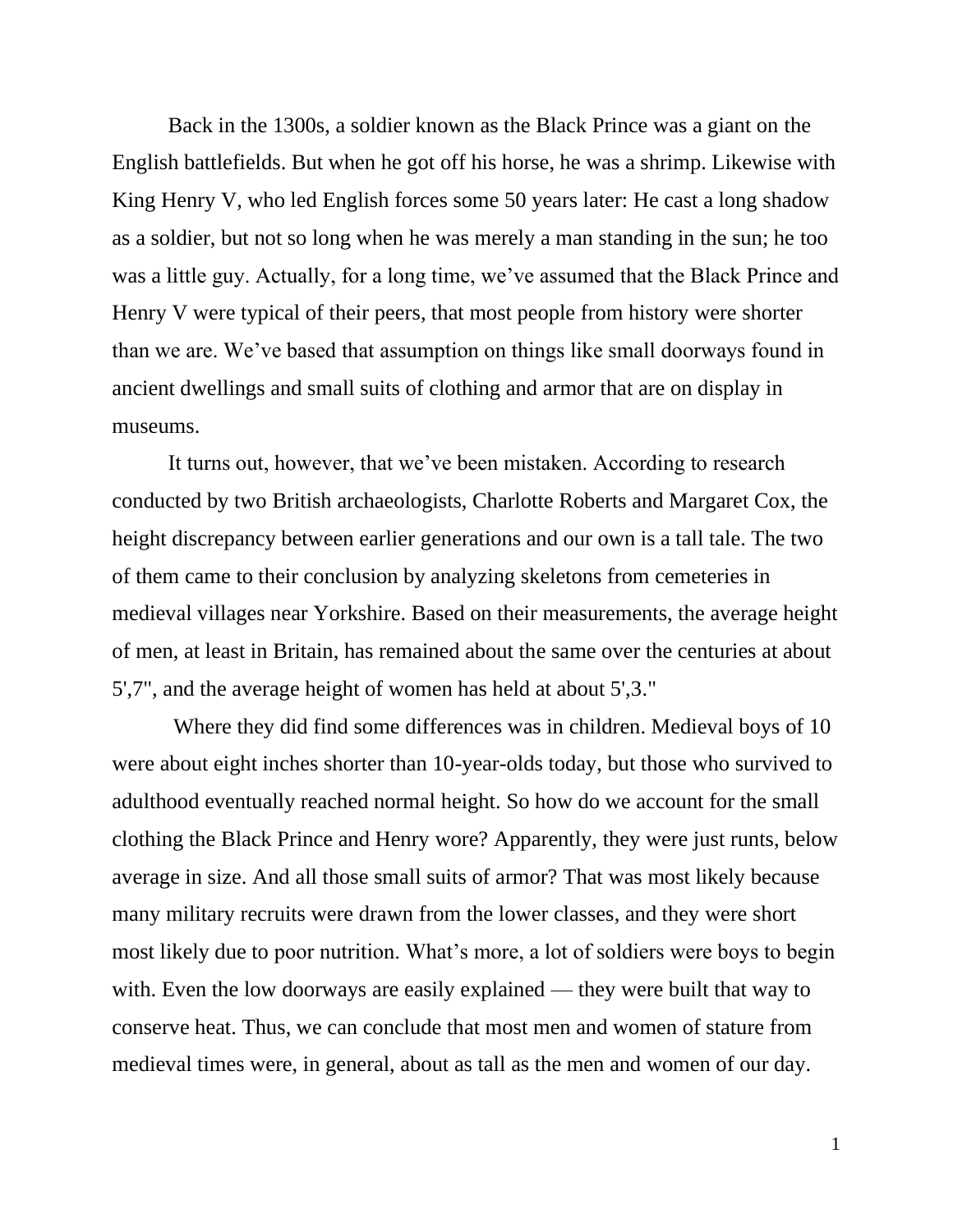Back in the 1300s, a soldier known as the Black Prince was a giant on the English battlefields. But when he got off his horse, he was a shrimp. Likewise with King Henry V, who led English forces some 50 years later: He cast a long shadow as a soldier, but not so long when he was merely a man standing in the sun; he too was a little guy. Actually, for a long time, we've assumed that the Black Prince and Henry V were typical of their peers, that most people from history were shorter than we are. We've based that assumption on things like small doorways found in ancient dwellings and small suits of clothing and armor that are on display in museums.

It turns out, however, that we've been mistaken. According to research conducted by two British archaeologists, Charlotte Roberts and Margaret Cox, the height discrepancy between earlier generations and our own is a tall tale. The two of them came to their conclusion by analyzing skeletons from cemeteries in medieval villages near Yorkshire. Based on their measurements, the average height of men, at least in Britain, has remained about the same over the centuries at about 5',7", and the average height of women has held at about 5',3."

Where they did find some differences was in children. Medieval boys of 10 were about eight inches shorter than 10-year-olds today, but those who survived to adulthood eventually reached normal height. So how do we account for the small clothing the Black Prince and Henry wore? Apparently, they were just runts, below average in size. And all those small suits of armor? That was most likely because many military recruits were drawn from the lower classes, and they were short most likely due to poor nutrition. What's more, a lot of soldiers were boys to begin with. Even the low doorways are easily explained — they were built that way to conserve heat. Thus, we can conclude that most men and women of stature from medieval times were, in general, about as tall as the men and women of our day.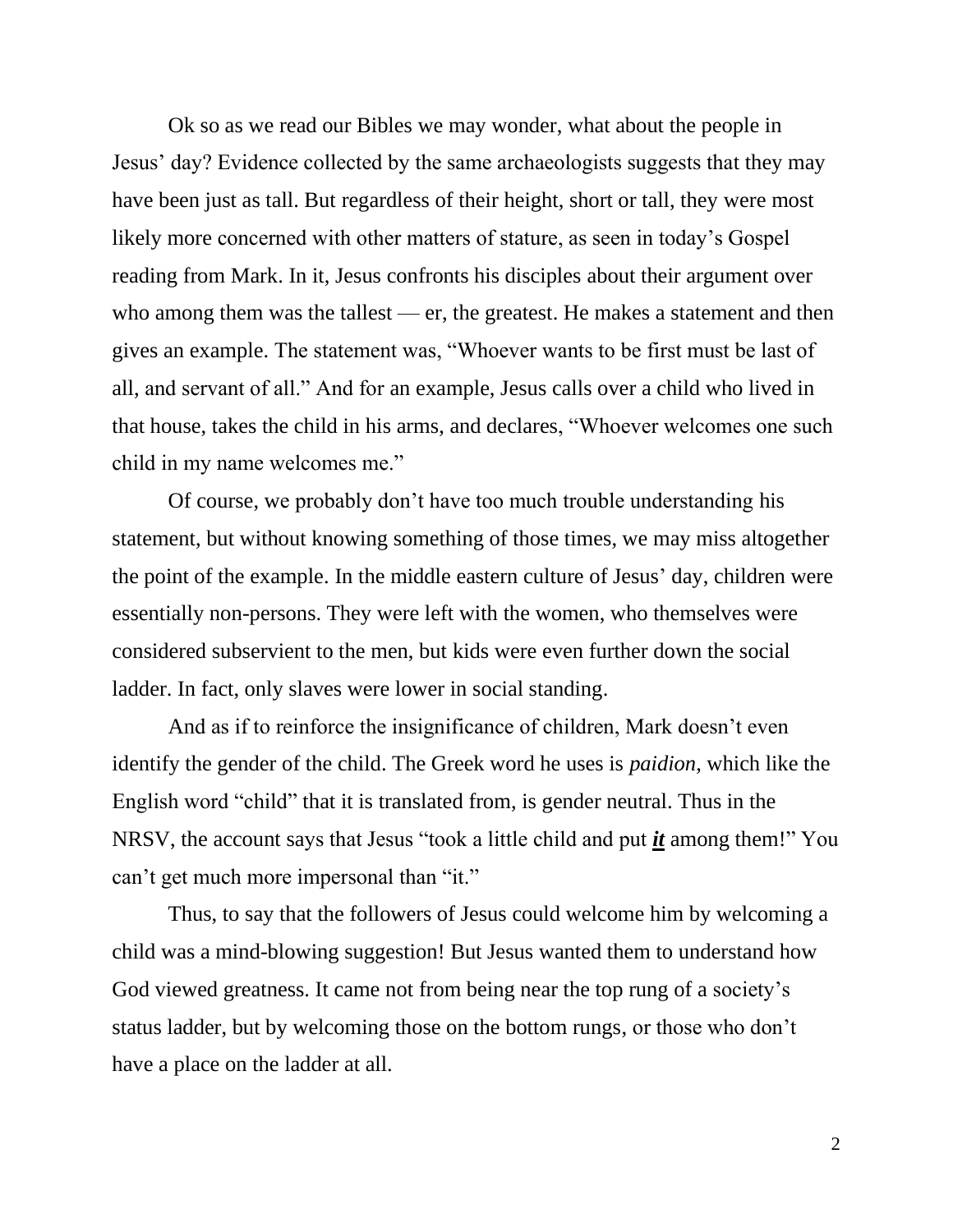Ok so as we read our Bibles we may wonder, what about the people in Jesus' day? Evidence collected by the same archaeologists suggests that they may have been just as tall. But regardless of their height, short or tall, they were most likely more concerned with other matters of stature, as seen in today's Gospel reading from Mark. In it, Jesus confronts his disciples about their argument over who among them was the tallest — er, the greatest. He makes a statement and then gives an example. The statement was, "Whoever wants to be first must be last of all, and servant of all." And for an example, Jesus calls over a child who lived in that house, takes the child in his arms, and declares, "Whoever welcomes one such child in my name welcomes me."

Of course, we probably don't have too much trouble understanding his statement, but without knowing something of those times, we may miss altogether the point of the example. In the middle eastern culture of Jesus' day, children were essentially non-persons. They were left with the women, who themselves were considered subservient to the men, but kids were even further down the social ladder. In fact, only slaves were lower in social standing.

And as if to reinforce the insignificance of children, Mark doesn't even identify the gender of the child. The Greek word he uses is *paidion*, which like the English word "child" that it is translated from, is gender neutral. Thus in the NRSV, the account says that Jesus "took a little child and put *it* among them!" You can't get much more impersonal than "it."

Thus, to say that the followers of Jesus could welcome him by welcoming a child was a mind-blowing suggestion! But Jesus wanted them to understand how God viewed greatness. It came not from being near the top rung of a society's status ladder, but by welcoming those on the bottom rungs, or those who don't have a place on the ladder at all.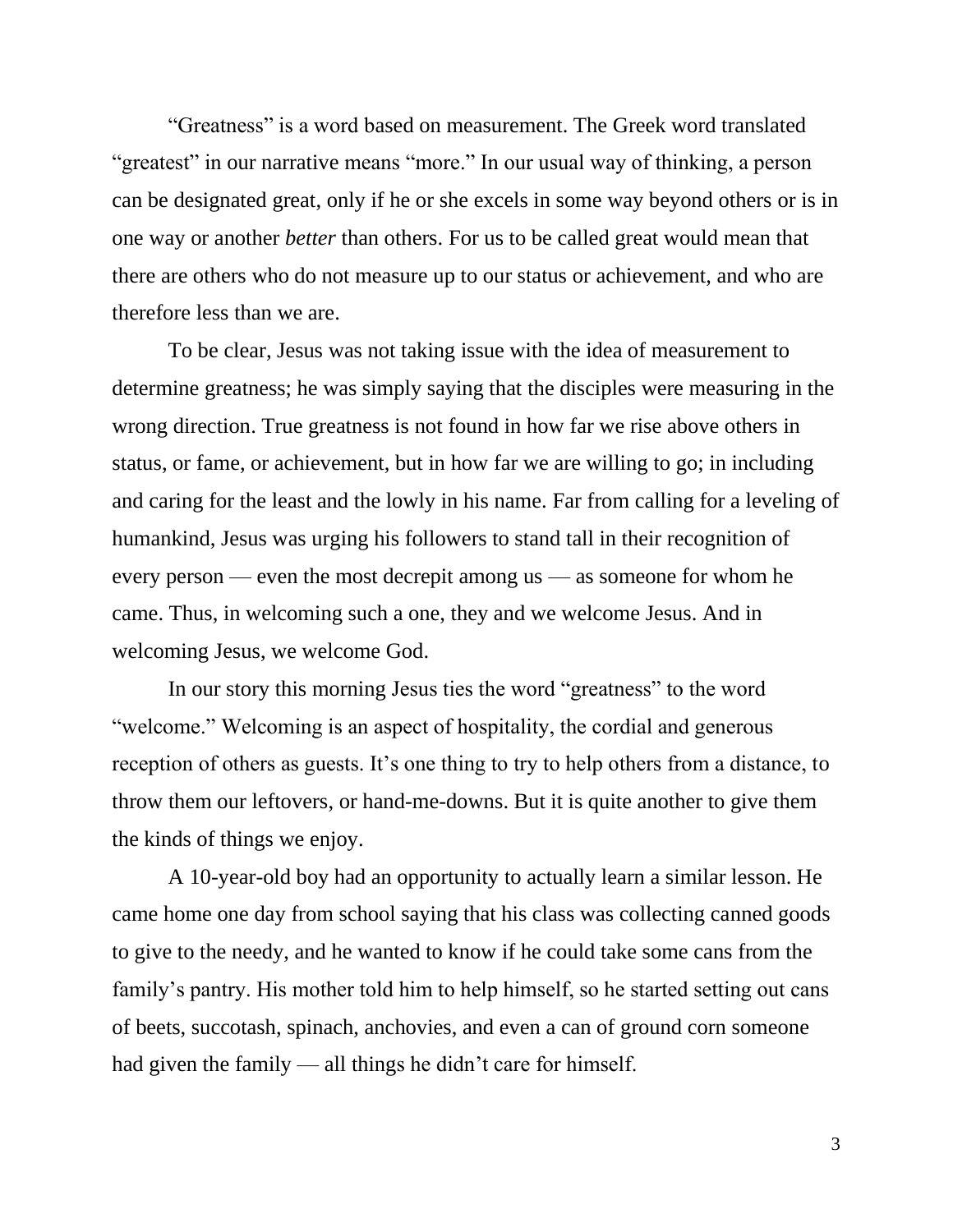"Greatness" is a word based on measurement. The Greek word translated "greatest" in our narrative means "more." In our usual way of thinking, a person can be designated great, only if he or she excels in some way beyond others or is in one way or another *better* than others. For us to be called great would mean that there are others who do not measure up to our status or achievement, and who are therefore less than we are.

To be clear, Jesus was not taking issue with the idea of measurement to determine greatness; he was simply saying that the disciples were measuring in the wrong direction. True greatness is not found in how far we rise above others in status, or fame, or achievement, but in how far we are willing to go; in including and caring for the least and the lowly in his name. Far from calling for a leveling of humankind, Jesus was urging his followers to stand tall in their recognition of every person — even the most decrepit among us — as someone for whom he came. Thus, in welcoming such a one, they and we welcome Jesus. And in welcoming Jesus, we welcome God.

In our story this morning Jesus ties the word "greatness" to the word "welcome." Welcoming is an aspect of hospitality, the cordial and generous reception of others as guests. It's one thing to try to help others from a distance, to throw them our leftovers, or hand-me-downs. But it is quite another to give them the kinds of things we enjoy.

A 10-year-old boy had an opportunity to actually learn a similar lesson. He came home one day from school saying that his class was collecting canned goods to give to the needy, and he wanted to know if he could take some cans from the family's pantry. His mother told him to help himself, so he started setting out cans of beets, succotash, spinach, anchovies, and even a can of ground corn someone had given the family — all things he didn't care for himself.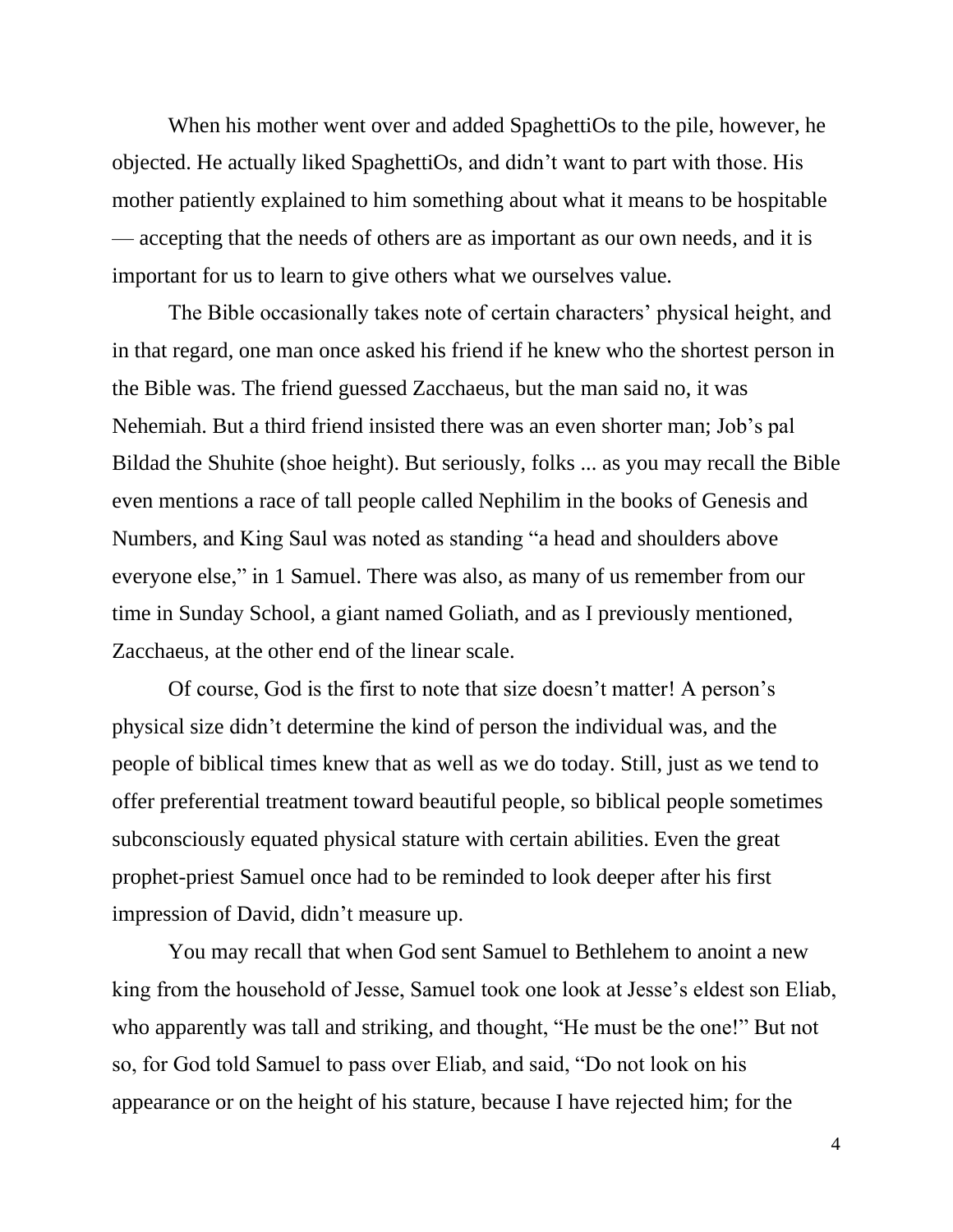When his mother went over and added SpaghettiOs to the pile, however, he objected. He actually liked SpaghettiOs, and didn't want to part with those. His mother patiently explained to him something about what it means to be hospitable — accepting that the needs of others are as important as our own needs, and it is important for us to learn to give others what we ourselves value.

The Bible occasionally takes note of certain characters' physical height, and in that regard, one man once asked his friend if he knew who the shortest person in the Bible was. The friend guessed Zacchaeus, but the man said no, it was Nehemiah. But a third friend insisted there was an even shorter man; Job's pal Bildad the Shuhite (shoe height). But seriously, folks ... as you may recall the Bible even mentions a race of tall people called Nephilim in the books of Genesis and Numbers, and King Saul was noted as standing "a head and shoulders above everyone else," in 1 Samuel. There was also, as many of us remember from our time in Sunday School, a giant named Goliath, and as I previously mentioned, Zacchaeus, at the other end of the linear scale.

Of course, God is the first to note that size doesn't matter! A person's physical size didn't determine the kind of person the individual was, and the people of biblical times knew that as well as we do today. Still, just as we tend to offer preferential treatment toward beautiful people, so biblical people sometimes subconsciously equated physical stature with certain abilities. Even the great prophet-priest Samuel once had to be reminded to look deeper after his first impression of David, didn't measure up.

You may recall that when God sent Samuel to Bethlehem to anoint a new king from the household of Jesse, Samuel took one look at Jesse's eldest son Eliab, who apparently was tall and striking, and thought, "He must be the one!" But not so, for God told Samuel to pass over Eliab, and said, "Do not look on his appearance or on the height of his stature, because I have rejected him; for the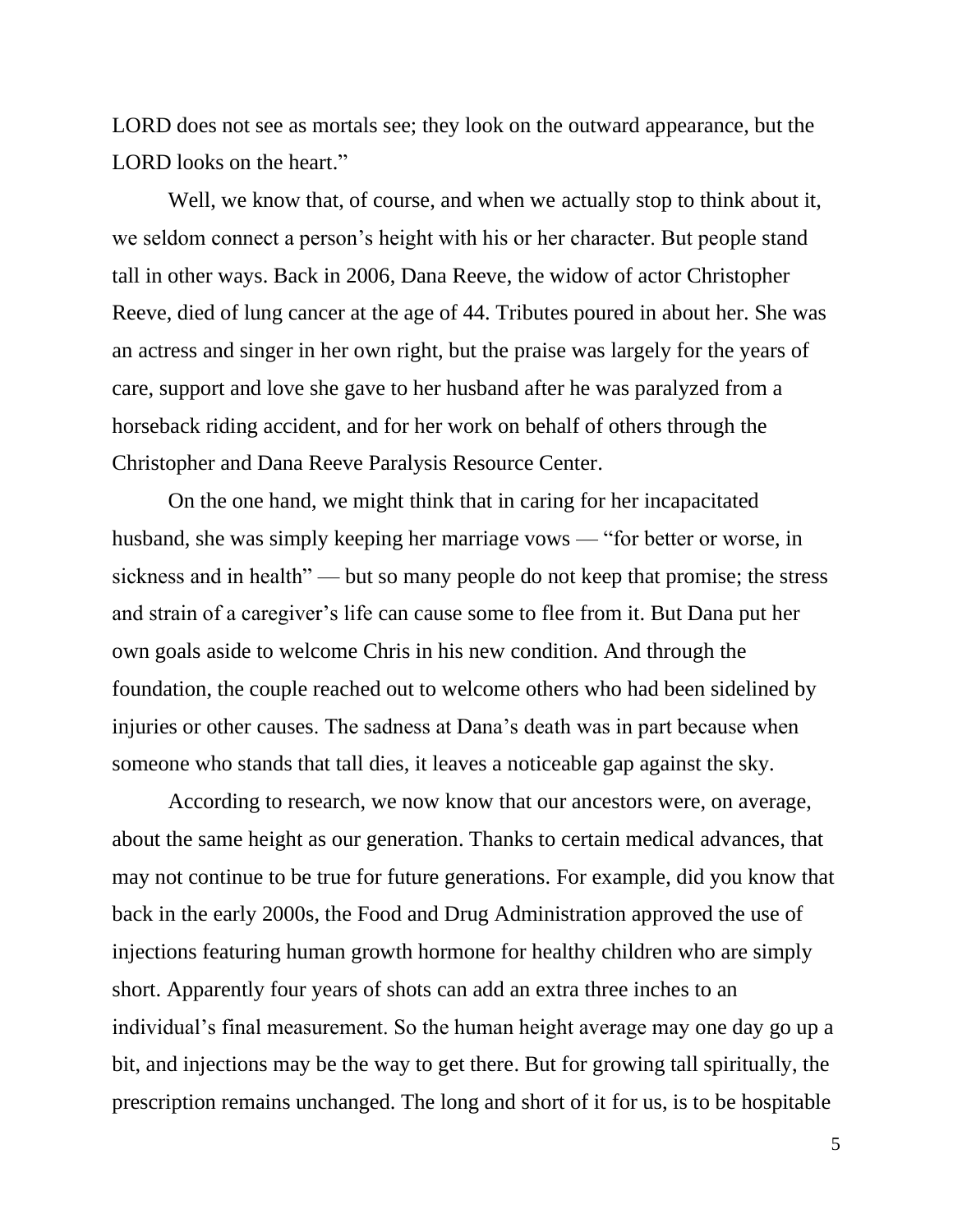LORD does not see as mortals see; they look on the outward appearance, but the LORD looks on the heart."

Well, we know that, of course, and when we actually stop to think about it, we seldom connect a person's height with his or her character. But people stand tall in other ways. Back in 2006, Dana Reeve, the widow of actor Christopher Reeve, died of lung cancer at the age of 44. Tributes poured in about her. She was an actress and singer in her own right, but the praise was largely for the years of care, support and love she gave to her husband after he was paralyzed from a horseback riding accident, and for her work on behalf of others through the Christopher and Dana Reeve Paralysis Resource Center.

On the one hand, we might think that in caring for her incapacitated husband, she was simply keeping her marriage vows — "for better or worse, in sickness and in health" — but so many people do not keep that promise; the stress and strain of a caregiver's life can cause some to flee from it. But Dana put her own goals aside to welcome Chris in his new condition. And through the foundation, the couple reached out to welcome others who had been sidelined by injuries or other causes. The sadness at Dana's death was in part because when someone who stands that tall dies, it leaves a noticeable gap against the sky.

According to research, we now know that our ancestors were, on average, about the same height as our generation. Thanks to certain medical advances, that may not continue to be true for future generations. For example, did you know that back in the early 2000s, the Food and Drug Administration approved the use of injections featuring human growth hormone for healthy children who are simply short. Apparently four years of shots can add an extra three inches to an individual's final measurement. So the human height average may one day go up a bit, and injections may be the way to get there. But for growing tall spiritually, the prescription remains unchanged. The long and short of it for us, is to be hospitable